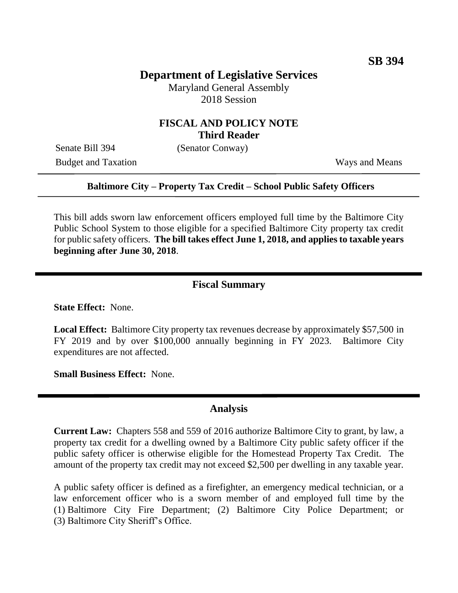## **Department of Legislative Services**

Maryland General Assembly 2018 Session

### **FISCAL AND POLICY NOTE Third Reader**

Senate Bill 394 (Senator Conway)

Budget and Taxation Ways and Means

#### **Baltimore City – Property Tax Credit – School Public Safety Officers**

This bill adds sworn law enforcement officers employed full time by the Baltimore City Public School System to those eligible for a specified Baltimore City property tax credit for public safety officers. **The bill takes effect June 1, 2018, and applies to taxable years beginning after June 30, 2018**.

#### **Fiscal Summary**

**State Effect:** None.

**Local Effect:** Baltimore City property tax revenues decrease by approximately \$57,500 in FY 2019 and by over \$100,000 annually beginning in FY 2023. Baltimore City expenditures are not affected.

**Small Business Effect:** None.

### **Analysis**

**Current Law:** Chapters 558 and 559 of 2016 authorize Baltimore City to grant, by law, a property tax credit for a dwelling owned by a Baltimore City public safety officer if the public safety officer is otherwise eligible for the Homestead Property Tax Credit. The amount of the property tax credit may not exceed \$2,500 per dwelling in any taxable year.

A public safety officer is defined as a firefighter, an emergency medical technician, or a law enforcement officer who is a sworn member of and employed full time by the (1) Baltimore City Fire Department; (2) Baltimore City Police Department; or (3) Baltimore City Sheriff's Office.